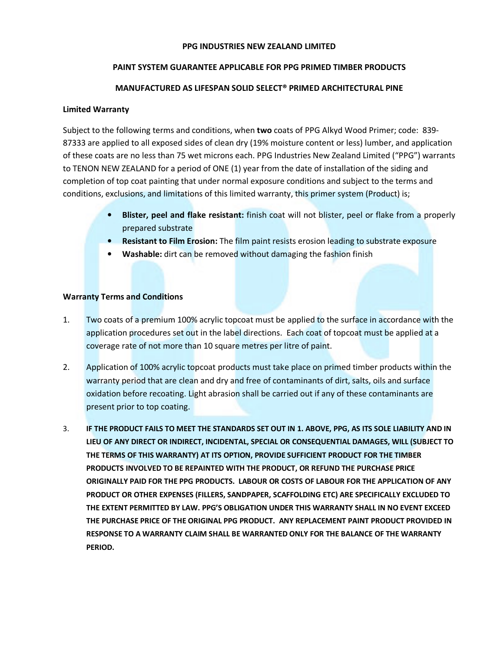#### PPG INDUSTRIES NEW ZEALAND LIMITED

# PAINT SYSTEM GUARANTEE APPLICABLE FOR PPG PRIMED TIMBER PRODUCTS

# MANUFACTURED AS LIFESPAN SOLID SELECT® PRIMED ARCHITECTURAL PINE

## Limited Warranty

Subject to the following terms and conditions, when two coats of PPG Alkyd Wood Primer; code: 839- 87333 are applied to all exposed sides of clean dry (19% moisture content or less) lumber, and application of these coats are no less than 75 wet microns each. PPG Industries New Zealand Limited ("PPG") warrants to TENON NEW ZEALAND for a period of ONE (1) year from the date of installation of the siding and completion of top coat painting that under normal exposure conditions and subject to the terms and conditions, exclusions, and limitations of this limited warranty, this primer system (Product) is;

- **Blister, peel and flake resistant:** finish coat will not blister, peel or flake from a properly prepared substrate
- Resistant to Film Erosion: The film paint resists erosion leading to substrate exposure
- Washable: dirt can be removed without damaging the fashion finish

## Warranty Terms and Conditions

- 1. Two coats of a premium 100% acrylic topcoat must be applied to the surface in accordance with the application procedures set out in the label directions. Each coat of topcoat must be applied at a coverage rate of not more than 10 square metres per litre of paint.
- 2. Application of 100% acrylic topcoat products must take place on primed timber products within the warranty period that are clean and dry and free of contaminants of dirt, salts, oils and surface oxidation before recoating. Light abrasion shall be carried out if any of these contaminants are present prior to top coating.
- 3. IF THE PRODUCT FAILS TO MEET THE STANDARDS SET OUT IN 1. ABOVE, PPG, AS ITS SOLE LIABILITY AND IN LIEU OF ANY DIRECT OR INDIRECT, INCIDENTAL, SPECIAL OR CONSEQUENTIAL DAMAGES, WILL (SUBJECT TO THE TERMS OF THIS WARRANTY) AT ITS OPTION, PROVIDE SUFFICIENT PRODUCT FOR THE TIMBER PRODUCTS INVOLVED TO BE REPAINTED WITH THE PRODUCT, OR REFUND THE PURCHASE PRICE ORIGINALLY PAID FOR THE PPG PRODUCTS. LABOUR OR COSTS OF LABOUR FOR THE APPLICATION OF ANY PRODUCT OR OTHER EXPENSES (FILLERS, SANDPAPER, SCAFFOLDING ETC) ARE SPECIFICALLY EXCLUDED TO THE EXTENT PERMITTED BY LAW. PPG'S OBLIGATION UNDER THIS WARRANTY SHALL IN NO EVENT EXCEED THE PURCHASE PRICE OF THE ORIGINAL PPG PRODUCT. ANY REPLACEMENT PAINT PRODUCT PROVIDED IN RESPONSE TO A WARRANTY CLAIM SHALL BE WARRANTED ONLY FOR THE BALANCE OF THE WARRANTY PERIOD.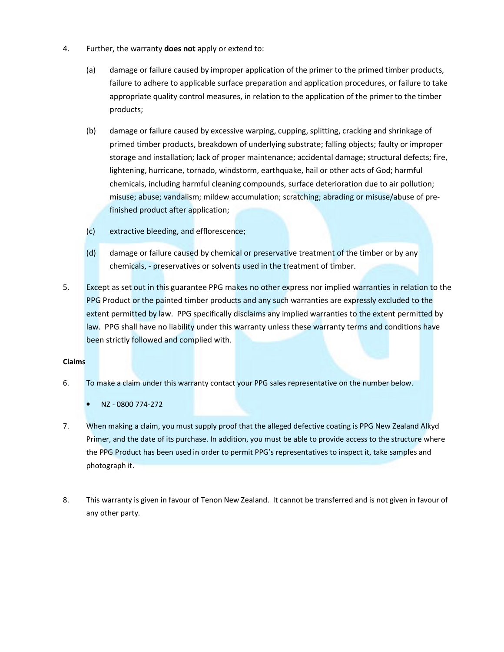- 4. Further, the warranty **does not** apply or extend to:
	- (a) damage or failure caused by improper application of the primer to the primed timber products, failure to adhere to applicable surface preparation and application procedures, or failure to take appropriate quality control measures, in relation to the application of the primer to the timber products;
	- (b) damage or failure caused by excessive warping, cupping, splitting, cracking and shrinkage of primed timber products, breakdown of underlying substrate; falling objects; faulty or improper storage and installation; lack of proper maintenance; accidental damage; structural defects; fire, lightening, hurricane, tornado, windstorm, earthquake, hail or other acts of God; harmful chemicals, including harmful cleaning compounds, surface deterioration due to air pollution; misuse; abuse; vandalism; mildew accumulation; scratching; abrading or misuse/abuse of prefinished product after application;
	- (c) extractive bleeding, and efflorescence;
	- (d) damage or failure caused by chemical or preservative treatment of the timber or by any chemicals, - preservatives or solvents used in the treatment of timber.
- 5. Except as set out in this guarantee PPG makes no other express nor implied warranties in relation to the PPG Product or the painted timber products and any such warranties are expressly excluded to the extent permitted by law. PPG specifically disclaims any implied warranties to the extent permitted by law. PPG shall have no liability under this warranty unless these warranty terms and conditions have been strictly followed and complied with.

#### Claims

- 6. To make a claim under this warranty contact your PPG sales representative on the number below.
	- NZ 0800 774-272
- 7. When making a claim, you must supply proof that the alleged defective coating is PPG New Zealand Alkyd Primer, and the date of its purchase. In addition, you must be able to provide access to the structure where the PPG Product has been used in order to permit PPG's representatives to inspect it, take samples and photograph it.
- 8. This warranty is given in favour of Tenon New Zealand. It cannot be transferred and is not given in favour of any other party.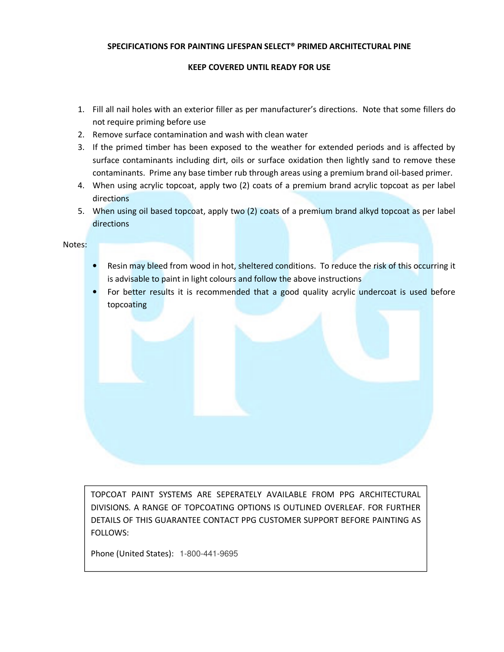## SPECIFICATIONS FOR PAINTING LIFESPAN SELECT® PRIMED ARCHITECTURAL PINE

## KEEP COVERED UNTIL READY FOR USE

- 1. Fill all nail holes with an exterior filler as per manufacturer's directions. Note that some fillers do not require priming before use
- 2. Remove surface contamination and wash with clean water
- 3. If the primed timber has been exposed to the weather for extended periods and is affected by surface contaminants including dirt, oils or surface oxidation then lightly sand to remove these contaminants. Prime any base timber rub through areas using a premium brand oil-based primer.
- 4. When using acrylic topcoat, apply two (2) coats of a premium brand acrylic topcoat as per label directions
- 5. When using oil based topcoat, apply two (2) coats of a premium brand alkyd topcoat as per label directions

Notes:

- Resin may bleed from wood in hot, sheltered conditions. To reduce the risk of this occurring it is advisable to paint in light colours and follow the above instructions
- For better results it is recommended that a good quality acrylic undercoat is used before topcoating

TOPCOAT PAINT SYSTEMS ARE SEPERATELY AVAILABLE FROM PPG ARCHITECTURAL DIVISIONS. A RANGE OF TOPCOATING OPTIONS IS OUTLINED OVERLEAF. FOR FURTHER DETAILS OF THIS GUARANTEE CONTACT PPG CUSTOMER SUPPORT BEFORE PAINTING AS FOLLOWS:

Phone (United States): 1-800-441-9695